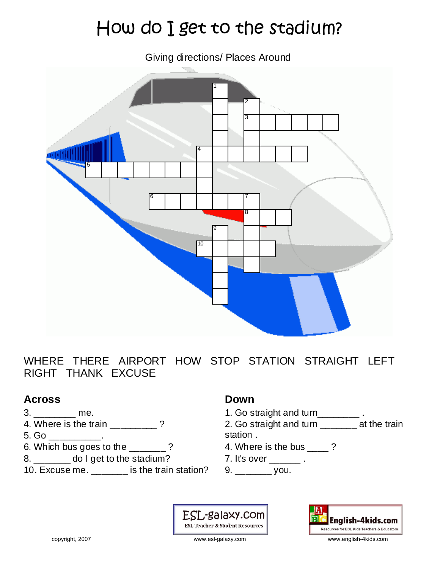# How do I get to the stadium?

Giving directions/ Places Around



WHERE THERE AIRPORT HOW STOP STATION STRAIGHT LEFT RIGHT THANK EXCUSE

#### **Across**

- $3.$  \_\_\_\_\_\_\_\_\_ me.
- 4. Where is the train \_\_\_\_\_\_\_\_?
- $5.$  Go  $\_\_\_\_\_\_\_\_\_\_\_\_$ .
- 6. Which bus goes to the \_\_\_\_\_\_\_ ?
- 8. \_\_\_\_\_\_\_ do I get to the stadium?
- 10. Excuse me. \_\_\_\_\_\_\_ is the train station?

#### **Down**

- 1. Go straight and turn\_\_\_\_\_\_\_.
- 2. Go straight and turn \_\_\_\_\_\_\_ at the train station .
- 4. Where is the bus ?
- 7. It's over \_\_\_\_\_\_\_ .
- 9. \_\_\_\_\_\_\_ you.

ESL-galaxy.com **ESL Teacher & Student Resources**